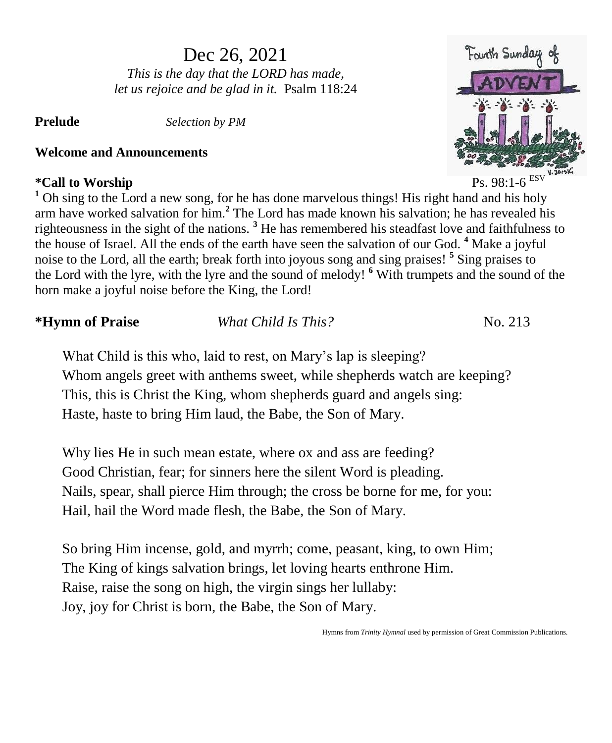# Dec 26, 2021

*This is the day that the LORD has made, let us rejoice and be glad in it.* Psalm 118:24

**Prelude** *Selection by PM*

# **Welcome and Announcements**

# **\*Call to Worship** Ps. 98:1-6



*\**Hymn of Praise *What Child Is This?* No. 213

What Child is this who, laid to rest, on Mary's lap is sleeping? Whom angels greet with anthems sweet, while shepherds watch are keeping? This, this is Christ the King, whom shepherds guard and angels sing: Haste, haste to bring Him laud, the Babe, the Son of Mary.

Why lies He in such mean estate, where ox and ass are feeding? Good Christian, fear; for sinners here the silent Word is pleading. Nails, spear, shall pierce Him through; the cross be borne for me, for you: Hail, hail the Word made flesh, the Babe, the Son of Mary.

So bring Him incense, gold, and myrrh; come, peasant, king, to own Him; The King of kings salvation brings, let loving hearts enthrone Him. Raise, raise the song on high, the virgin sings her lullaby: Joy, joy for Christ is born, the Babe, the Son of Mary.

Hymns from *Trinity Hymnal* used by permission of Great Commission Publications.



ESV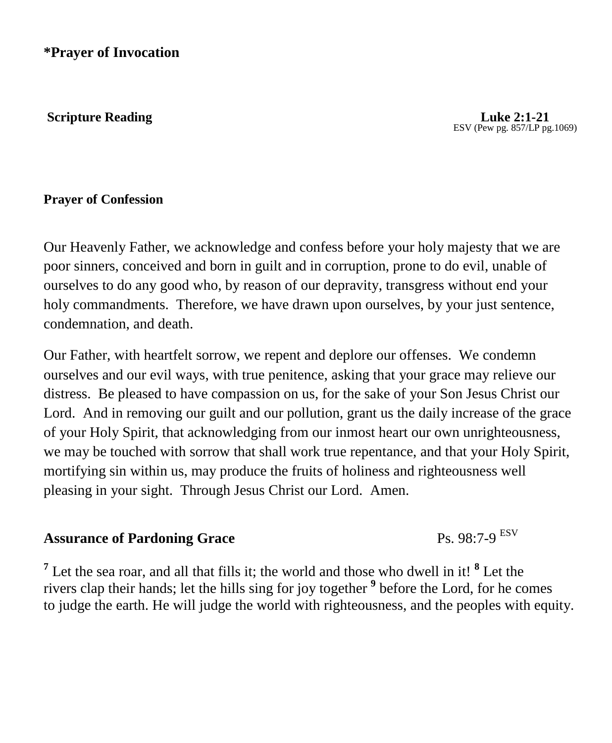**Scripture Reading Luke 2:1-21** 

ESV (Pew pg. 857/LP pg.1069)

## **Prayer of Confession**

Our Heavenly Father, we acknowledge and confess before your holy majesty that we are poor sinners, conceived and born in guilt and in corruption, prone to do evil, unable of ourselves to do any good who, by reason of our depravity, transgress without end your holy commandments. Therefore, we have drawn upon ourselves, by your just sentence, condemnation, and death.

Our Father, with heartfelt sorrow, we repent and deplore our offenses. We condemn ourselves and our evil ways, with true penitence, asking that your grace may relieve our distress. Be pleased to have compassion on us, for the sake of your Son Jesus Christ our Lord. And in removing our guilt and our pollution, grant us the daily increase of the grace of your Holy Spirit, that acknowledging from our inmost heart our own unrighteousness, we may be touched with sorrow that shall work true repentance, and that your Holy Spirit, mortifying sin within us, may produce the fruits of holiness and righteousness well pleasing in your sight. Through Jesus Christ our Lord. Amen.

# **Assurance of Pardoning Grace**

Ps. 98:7-9 ESV

<sup>7</sup> Let the sea roar, and all that fills it; the world and those who dwell in it! <sup>8</sup> Let the rivers clap their hands; let the hills sing for joy together **<sup>9</sup>** before the Lord, for he comes to judge the earth. He will judge the world with righteousness, and the peoples with equity.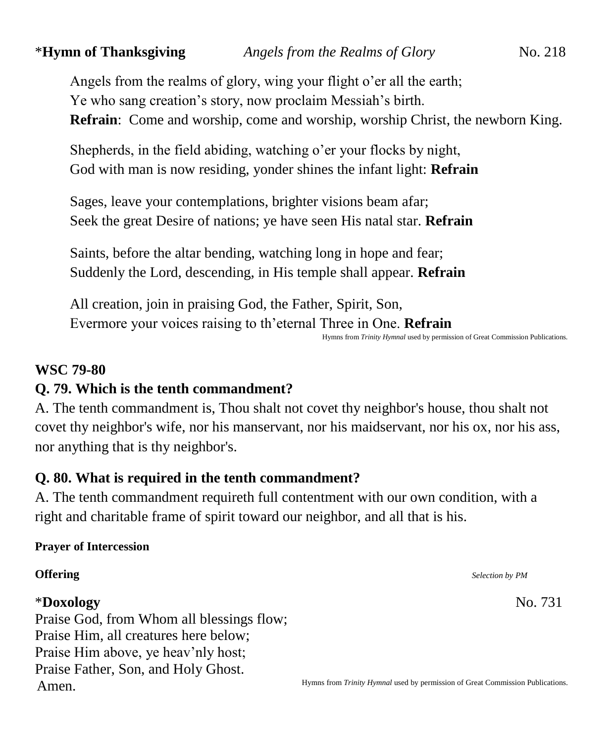Angels from the realms of glory, wing your flight o'er all the earth; Ye who sang creation's story, now proclaim Messiah's birth. **Refrain**: Come and worship, come and worship, worship Christ, the newborn King.

Shepherds, in the field abiding, watching o'er your flocks by night, God with man is now residing, yonder shines the infant light: **Refrain**

Sages, leave your contemplations, brighter visions beam afar; Seek the great Desire of nations; ye have seen His natal star. **Refrain**

Saints, before the altar bending, watching long in hope and fear; Suddenly the Lord, descending, in His temple shall appear. **Refrain**

All creation, join in praising God, the Father, Spirit, Son, Evermore your voices raising to th'eternal Three in One. **Refrain**

Hymns from *Trinity Hymnal* used by permission of Great Commission Publications.

### **WSC 79-80**

# **Q. 79. Which is the tenth commandment?**

A. The tenth commandment is, Thou shalt not covet thy neighbor's house, thou shalt not covet thy neighbor's wife, nor his manservant, nor his maidservant, nor his ox, nor his ass, nor anything that is thy neighbor's.

# **Q. 80. What is required in the tenth commandment?**

A. The tenth commandment requireth full contentment with our own condition, with a right and charitable frame of spirit toward our neighbor, and all that is his.

### **Prayer of Intercession**

### \***Doxology** No. 731

Praise God, from Whom all blessings flow; Praise Him, all creatures here below; Praise Him above, ye heav'nly host; Praise Father, Son, and Holy Ghost. Amen.

**Offering** *Selection by PM*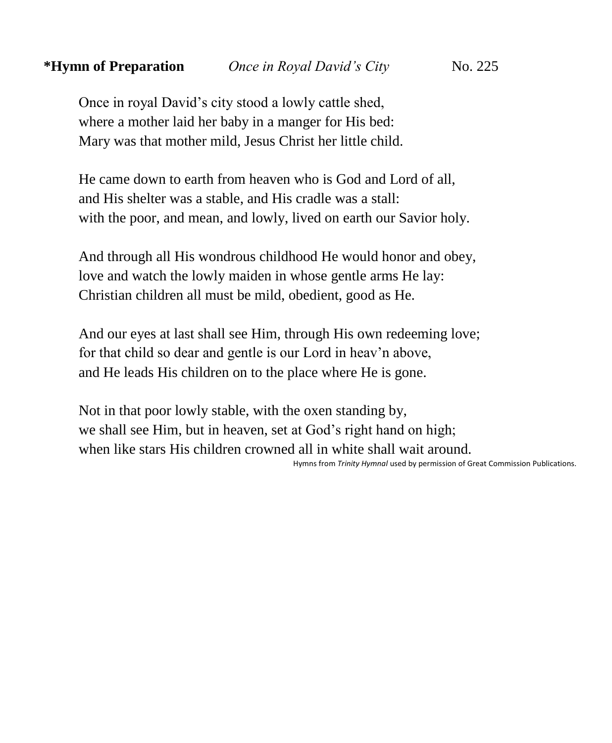Once in royal David's city stood a lowly cattle shed, where a mother laid her baby in a manger for His bed: Mary was that mother mild, Jesus Christ her little child.

He came down to earth from heaven who is God and Lord of all, and His shelter was a stable, and His cradle was a stall: with the poor, and mean, and lowly, lived on earth our Savior holy.

And through all His wondrous childhood He would honor and obey, love and watch the lowly maiden in whose gentle arms He lay: Christian children all must be mild, obedient, good as He.

And our eyes at last shall see Him, through His own redeeming love; for that child so dear and gentle is our Lord in heav'n above, and He leads His children on to the place where He is gone.

Not in that poor lowly stable, with the oxen standing by, we shall see Him, but in heaven, set at God's right hand on high; when like stars His children crowned all in white shall wait around.

Hymns from *Trinity Hymnal* used by permission of Great Commission Publications.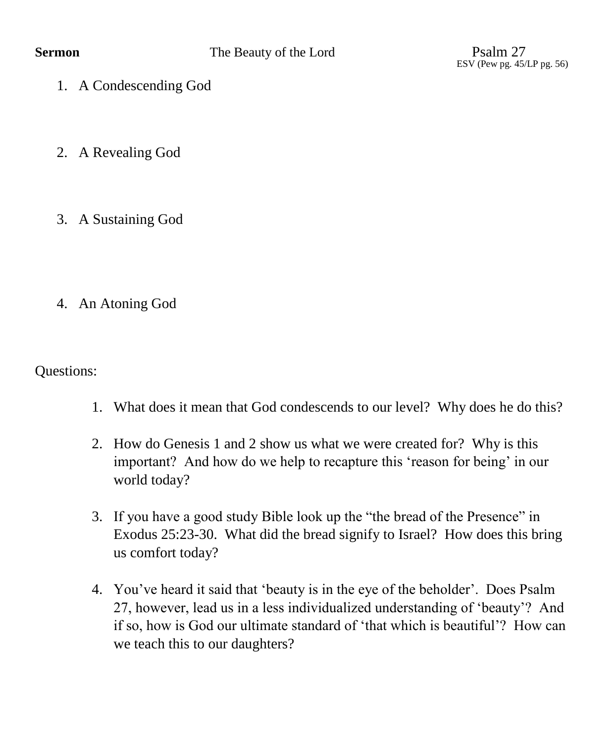ESV (Pew pg. 45/LP pg. 56)

- 1. A Condescending God
- 2. A Revealing God
- 3. A Sustaining God
- 4. An Atoning God

Questions:

- 1. What does it mean that God condescends to our level? Why does he do this?
- 2. How do Genesis 1 and 2 show us what we were created for? Why is this important? And how do we help to recapture this 'reason for being' in our world today?
- 3. If you have a good study Bible look up the "the bread of the Presence" in Exodus 25:23-30. What did the bread signify to Israel? How does this bring us comfort today?
- 4. You've heard it said that 'beauty is in the eye of the beholder'. Does Psalm 27, however, lead us in a less individualized understanding of 'beauty'? And if so, how is God our ultimate standard of 'that which is beautiful'? How can we teach this to our daughters?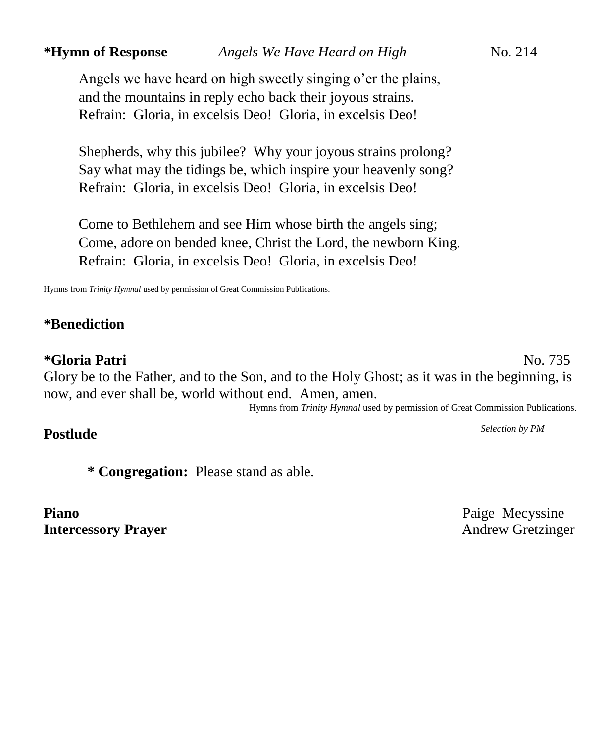Angels we have heard on high sweetly singing o'er the plains, and the mountains in reply echo back their joyous strains. Refrain: Gloria, in excelsis Deo! Gloria, in excelsis Deo!

Shepherds, why this jubilee? Why your joyous strains prolong? Say what may the tidings be, which inspire your heavenly song? Refrain: Gloria, in excelsis Deo! Gloria, in excelsis Deo!

Come to Bethlehem and see Him whose birth the angels sing; Come, adore on bended knee, Christ the Lord, the newborn King. Refrain: Gloria, in excelsis Deo! Gloria, in excelsis Deo!

Hymns from *Trinity Hymnal* used by permission of Great Commission Publications.

### **\*Benediction**

### **\*Gloria Patri** No. 735

Glory be to the Father, and to the Son, and to the Holy Ghost; as it was in the beginning, is now, and ever shall be, world without end. Amen, amen.

Hymns from *Trinity Hymnal* used by permission of Great Commission Publications.

# **Postlude** *Selection by PM*

**\* Congregation:** Please stand as able.

**Piano** Paige Mecyssine **Intercessory Prayer** Andrew Gretzinger